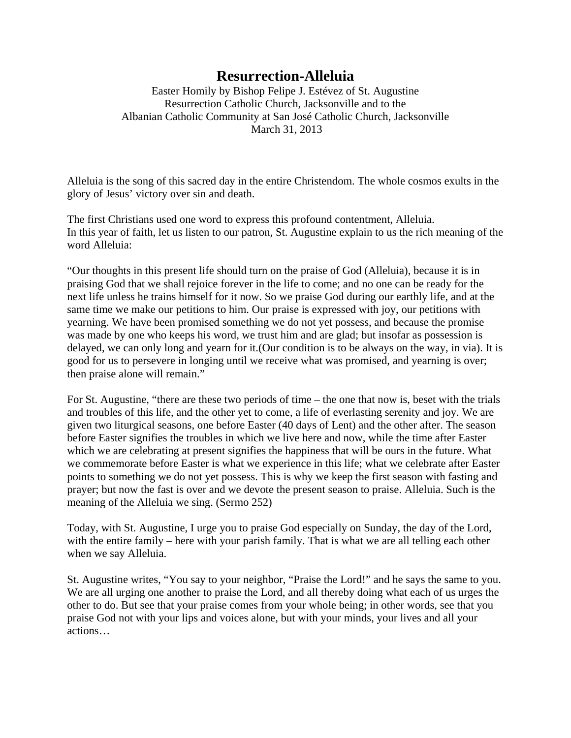## **Resurrection-Alleluia**

Easter Homily by Bishop Felipe J. Estévez of St. Augustine Resurrection Catholic Church, Jacksonville and to the Albanian Catholic Community at San José Catholic Church, Jacksonville March 31, 2013

Alleluia is the song of this sacred day in the entire Christendom. The whole cosmos exults in the glory of Jesus' victory over sin and death.

The first Christians used one word to express this profound contentment, Alleluia. In this year of faith, let us listen to our patron, St. Augustine explain to us the rich meaning of the word Alleluia:

"Our thoughts in this present life should turn on the praise of God (Alleluia), because it is in praising God that we shall rejoice forever in the life to come; and no one can be ready for the next life unless he trains himself for it now. So we praise God during our earthly life, and at the same time we make our petitions to him. Our praise is expressed with joy, our petitions with yearning. We have been promised something we do not yet possess, and because the promise was made by one who keeps his word, we trust him and are glad; but insofar as possession is delayed, we can only long and yearn for it.(Our condition is to be always on the way, in via). It is good for us to persevere in longing until we receive what was promised, and yearning is over; then praise alone will remain."

For St. Augustine, "there are these two periods of time – the one that now is, beset with the trials and troubles of this life, and the other yet to come, a life of everlasting serenity and joy. We are given two liturgical seasons, one before Easter (40 days of Lent) and the other after. The season before Easter signifies the troubles in which we live here and now, while the time after Easter which we are celebrating at present signifies the happiness that will be ours in the future. What we commemorate before Easter is what we experience in this life; what we celebrate after Easter points to something we do not yet possess. This is why we keep the first season with fasting and prayer; but now the fast is over and we devote the present season to praise. Alleluia. Such is the meaning of the Alleluia we sing. (Sermo 252)

Today, with St. Augustine, I urge you to praise God especially on Sunday, the day of the Lord, with the entire family – here with your parish family. That is what we are all telling each other when we say Alleluia.

St. Augustine writes, "You say to your neighbor, "Praise the Lord!" and he says the same to you. We are all urging one another to praise the Lord, and all thereby doing what each of us urges the other to do. But see that your praise comes from your whole being; in other words, see that you praise God not with your lips and voices alone, but with your minds, your lives and all your actions…